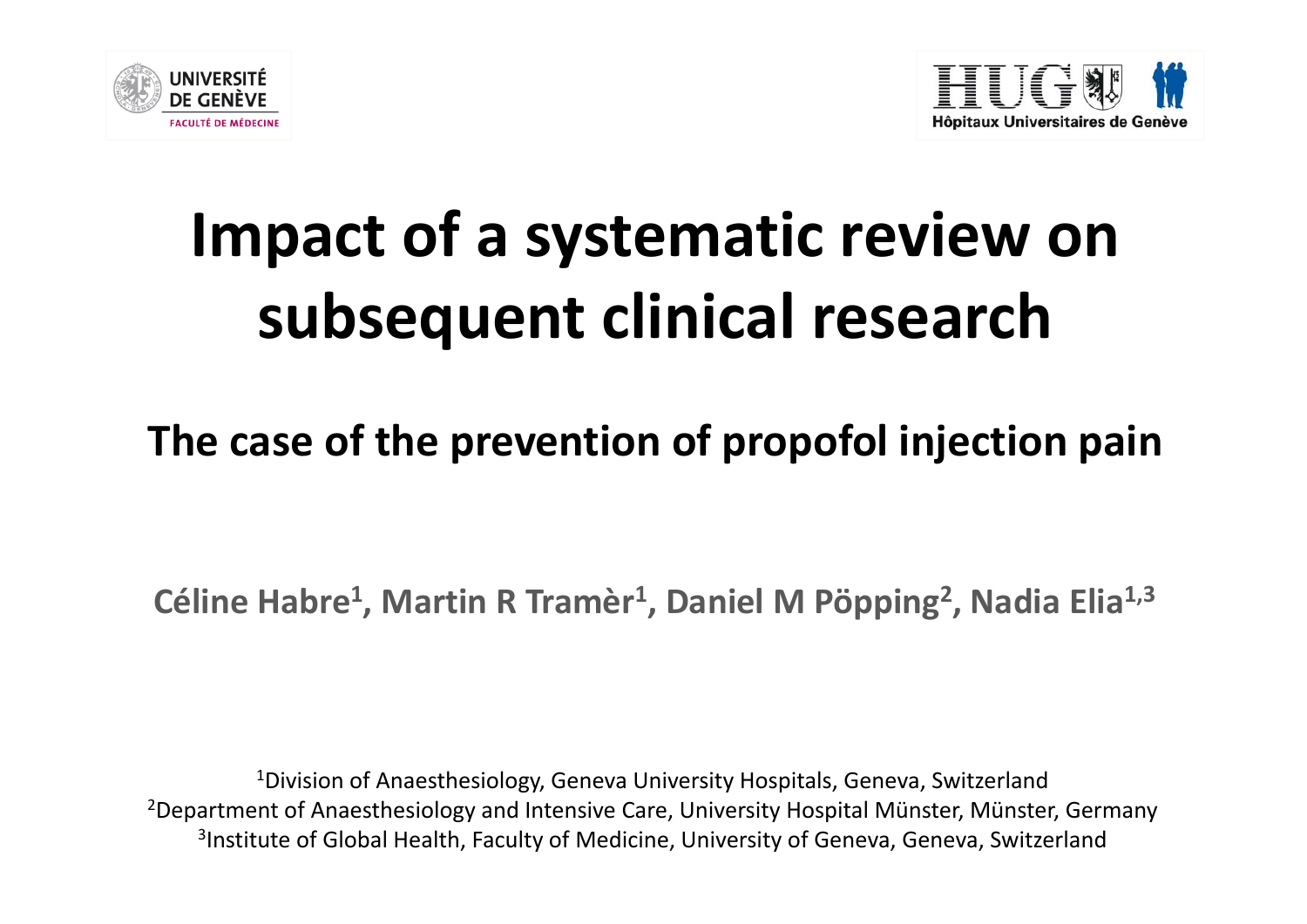



# **Impact of <sup>a</sup> systematic review on subsequent clinical research**

### **The case of the prevention of propofol injection pain**

**Céline Habre1, Martin <sup>R</sup> Tramèr1, Daniel <sup>M</sup> Pöpping2, Nadia Elia1,3**

 $^4$ Division of Anaesthesiology, Geneva University Hospitals, Geneva, Switzerland 2Department of Anaesthesiology and Intensive Care, University Hospital Münster, Münster, Germany <sup>3</sup>Institute of Global Health, Faculty of Medicine, University of Geneva, Geneva, Switzerland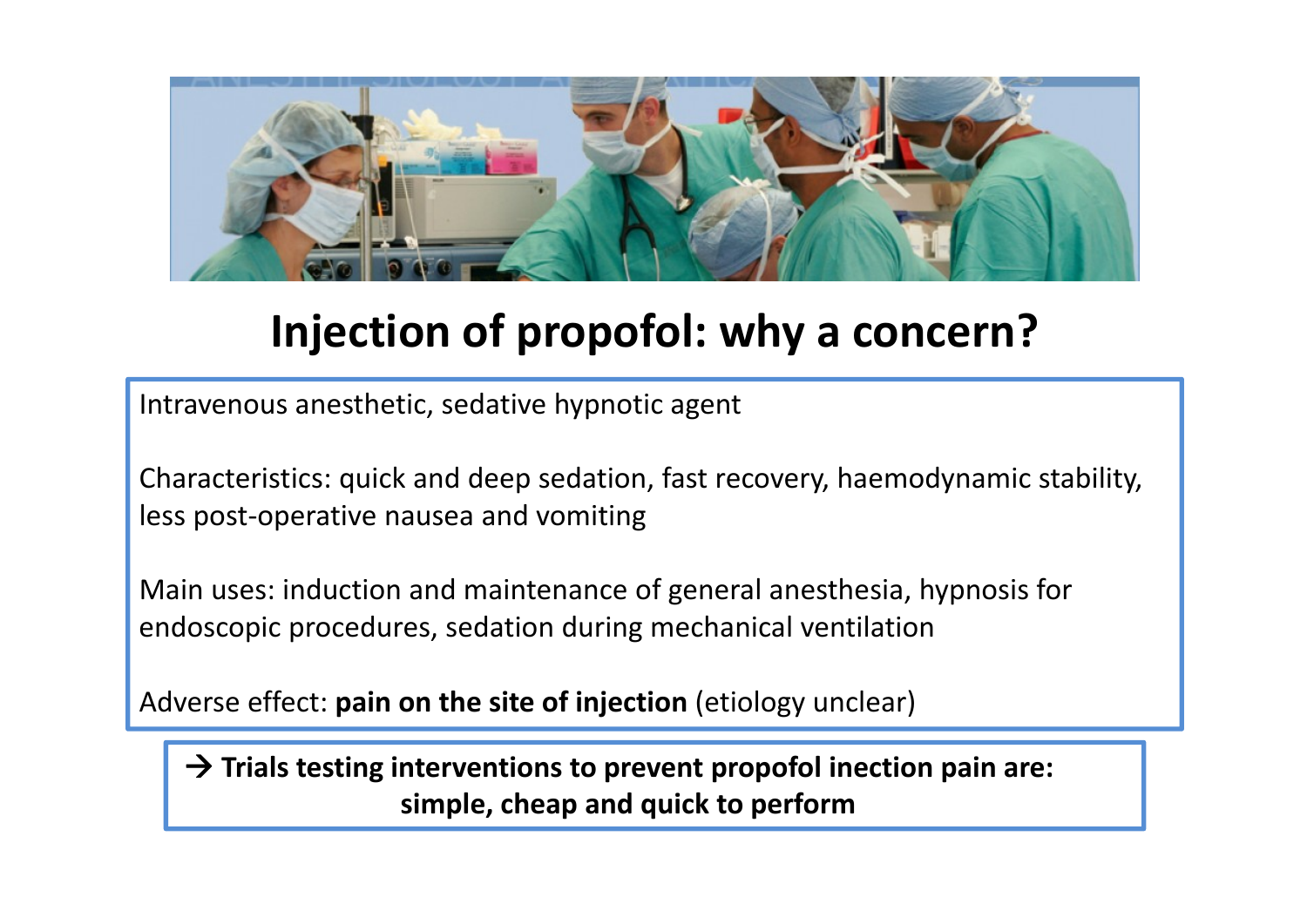

### **Injection of propofol: why <sup>a</sup> concern?**

Intravenous anesthetic, sedative hypnotic agent

Characteristics: quick and deep sedation, fast recovery, haemodynamic stability, less post‐operative nausea and vomiting

Main uses: induction and maintenance of general anesthesia, hypnosis for endoscopic procedures, sedation during mechanical ventilation

Adverse effect: **pain on the site of injection** (etiology unclear)

Æ **Trials testing interventions to prevent propofol inection pain are: simple, cheap and quick to perform**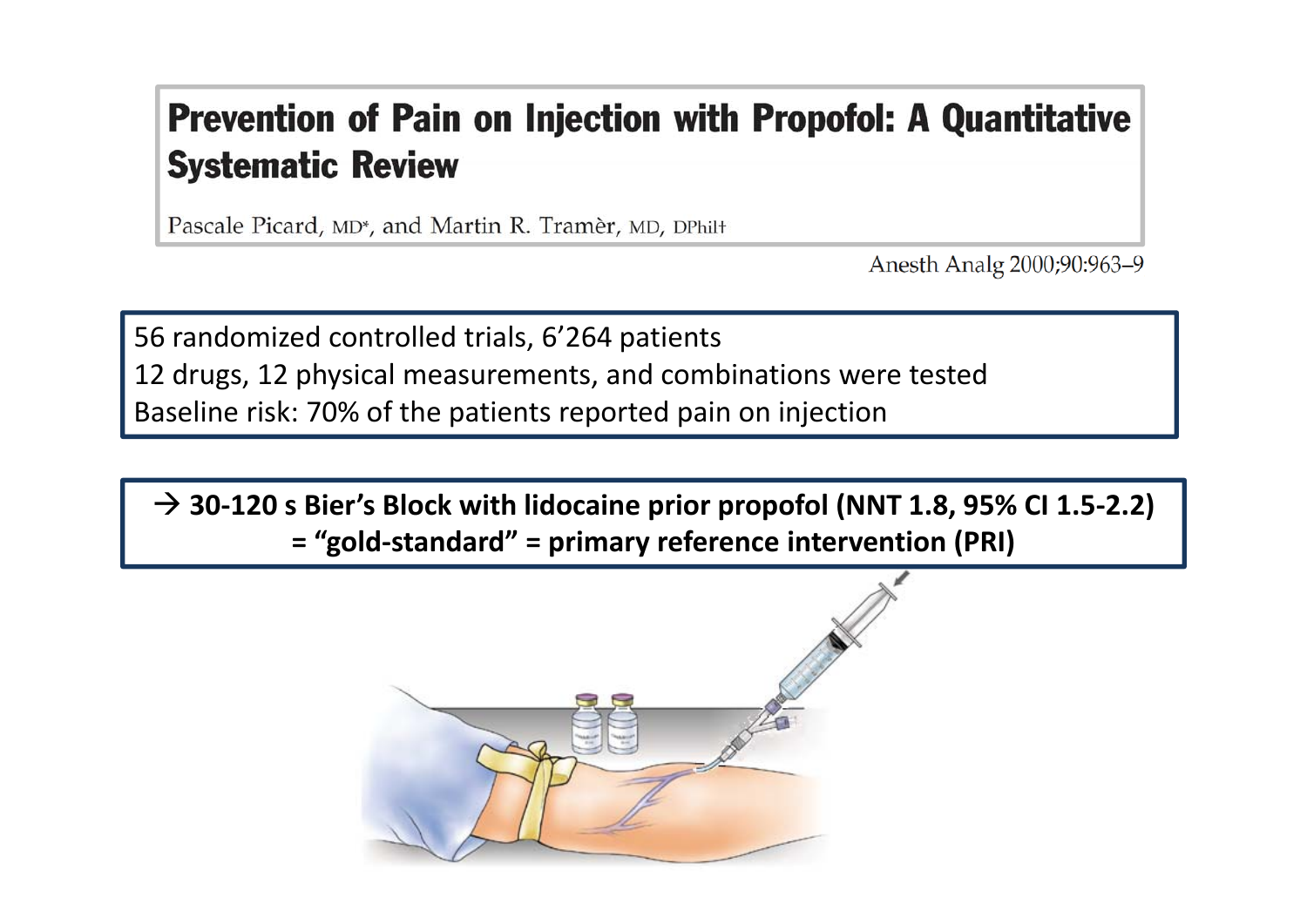### **Prevention of Pain on Injection with Propofol: A Quantitative Systematic Review**

Pascale Picard, MD\*, and Martin R. Tramèr, MD, DPhil+

Anesth Analg 2000;90:963-9

56 randomized controlled trials, 6'264 patients 12 drugs, 12 physical measurements, and combinations were tested Baseline risk: 70% of the patients reported pain on injection

Æ **30‐120 <sup>s</sup> Bier's Block with lidocaine prior propofol (NNT 1.8, 95% CI 1.5‐2.2) = "gold‐standard" <sup>=</sup> primary reference intervention (PRI)**

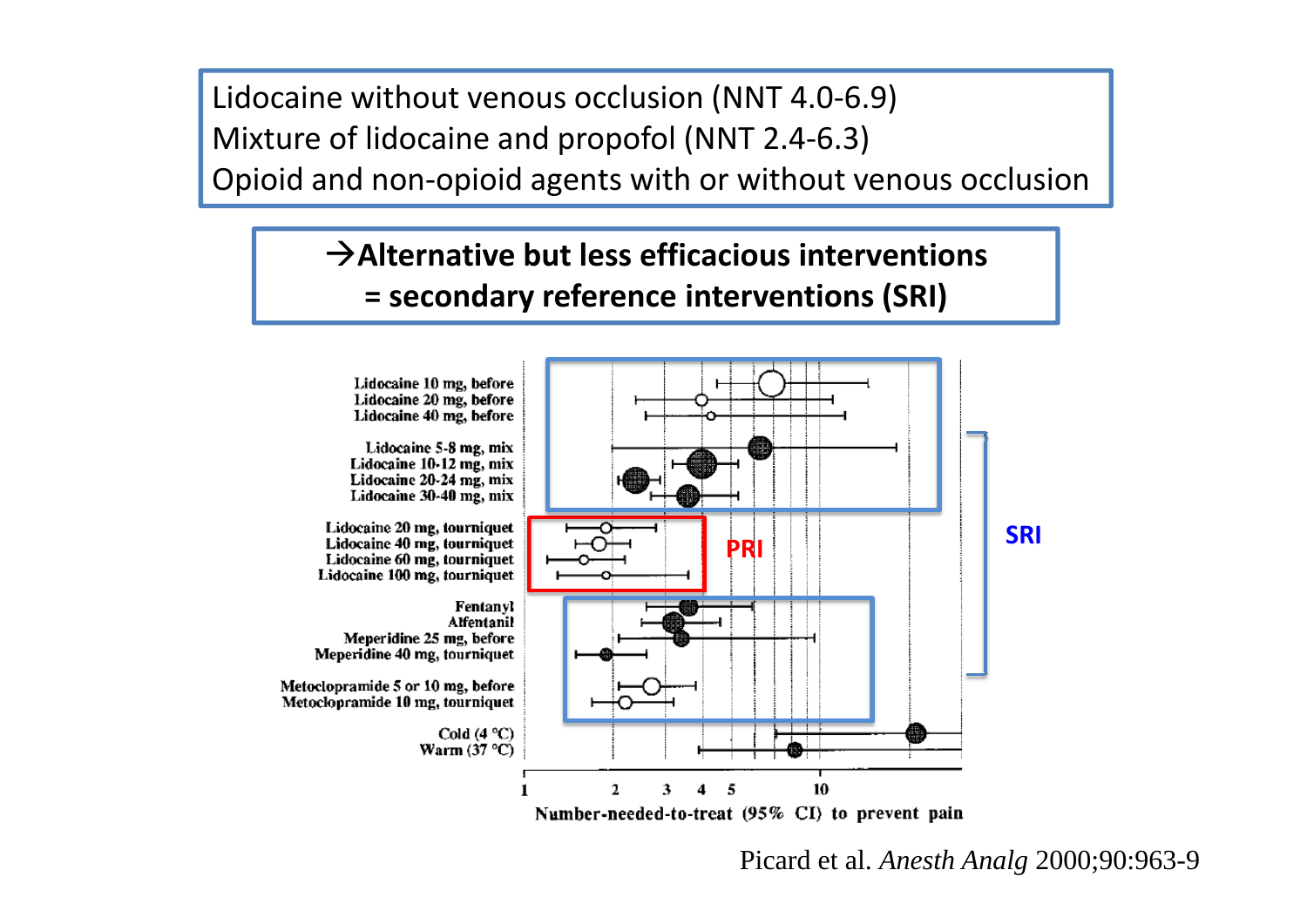Lidocaine without venous occlusion (NNT 4.0‐6.9) Mixture of lidocaine and propofol (NNT 2.4‐6.3) Opioid and non‐opioid agents with or without venous occlusion

### Æ**Alternative but less efficacious interventions = secondary reference interventions (SRI)**



Picard et al. *Anesth Analg* 2000;90:963-9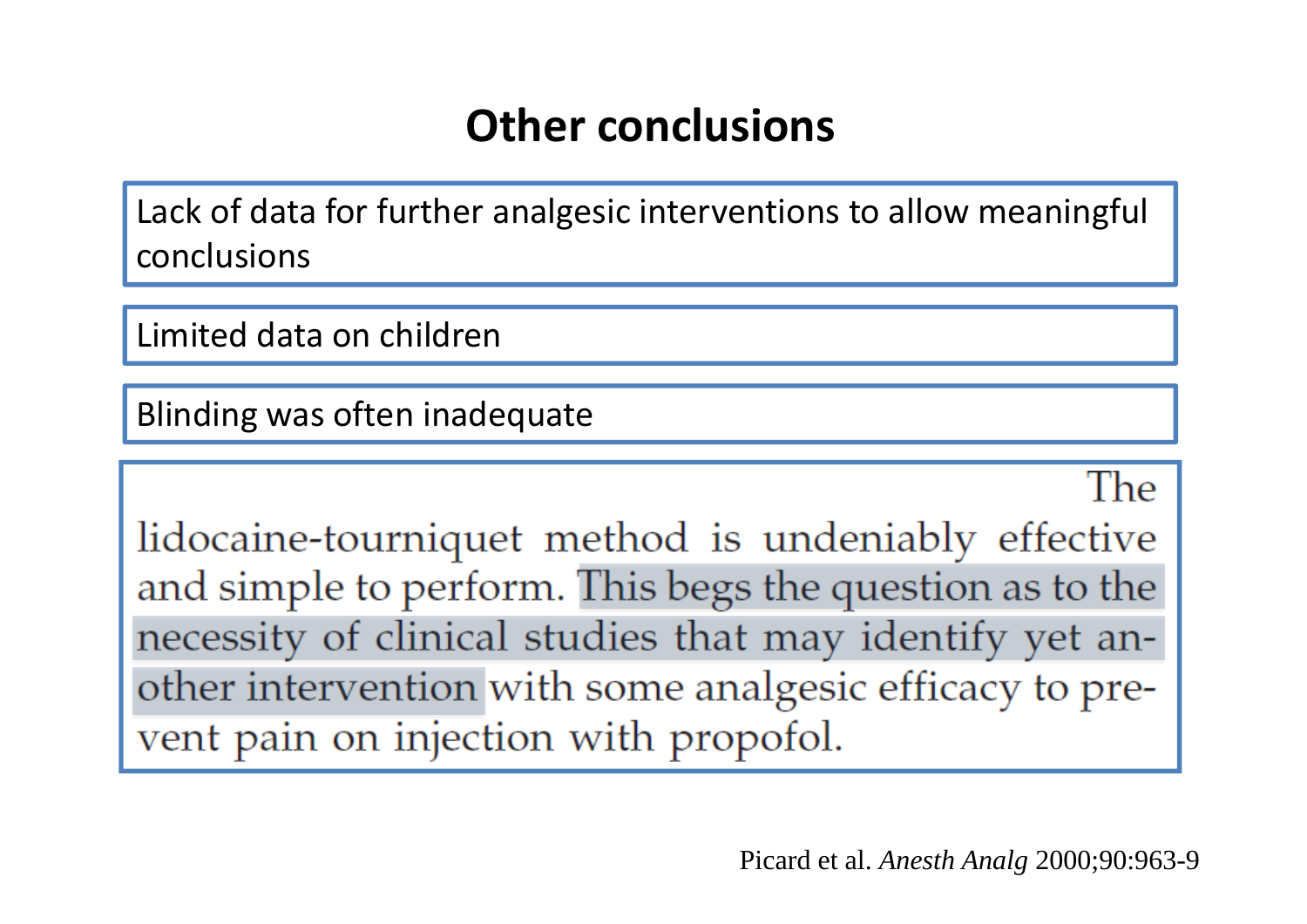### **Other conclusions**

Lack of data for further analgesic interventions to allow meaningful conclusions

Limited data on children

Blinding was often inadequate

The

lidocaine-tourniquet method is undeniably effective and simple to perform. This begs the question as to the necessity of clinical studies that may identify yet another intervention with some analgesic efficacy to prevent pain on injection with propofol.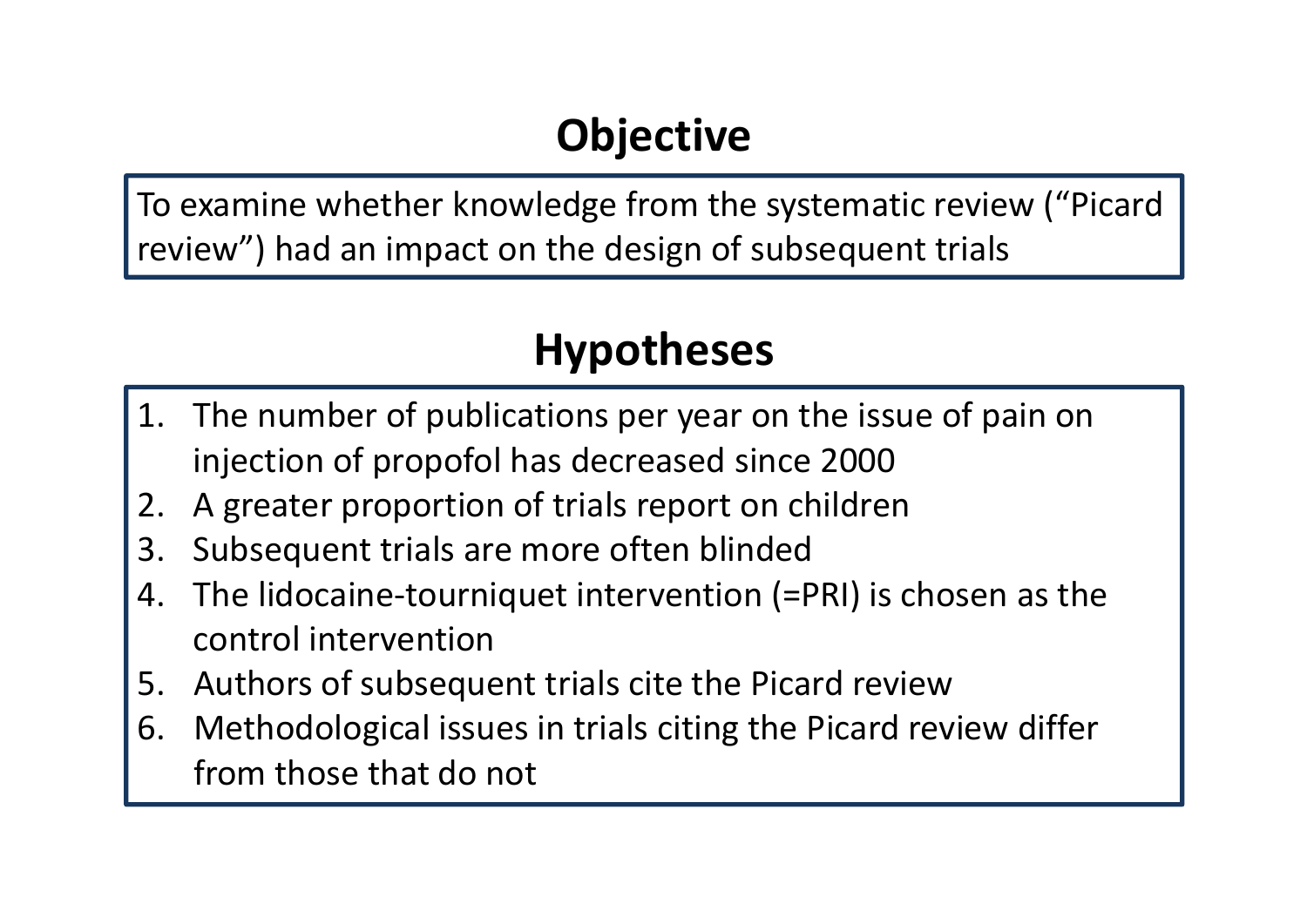## **Objective**

To examine whether knowledge from the systematic review ("Picard review") had an impact on the design of subsequent trials

### **Hypotheses**

- 1. The number of publications per year on the issue of pain on injection of propofol has decreased since 2000
- 2.A greater proportion of trials report on children
- 3.Subsequent trials are more often blinded
- 4. The lidocaine‐tourniquet intervention (=PRI) is chosen as the control intervention
- 5.Authors of subsequent trials cite the Picard review
- 6. Methodological issues in trials citing the Picard review differ from those that do not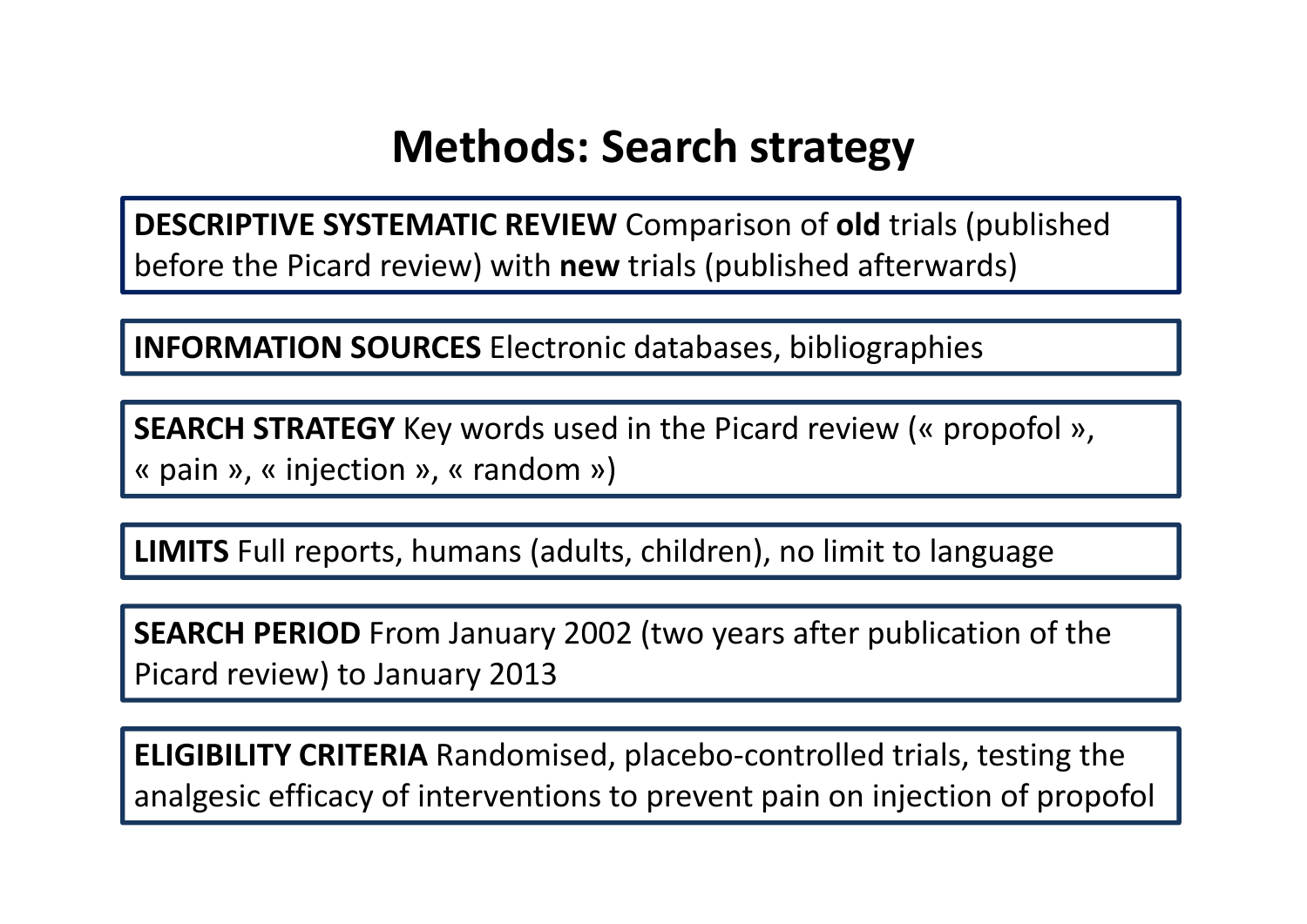### **Methods: Search strategy**

**DESCRIPTIVE SYSTEMATIC REVIEW** Comparison of **old** trials (published before the Picard review) with **new** trials (published afterwards)

**INFORMATION SOURCES** Electronic databases, bibliographies

**SEARCH STRATEGY** Key words used in the Picard review (« propofol », « pain », « injection », « random »)

**LIMITS** Full reports, humans (adults, children), no limit to language

**SEARCH PERIOD** From January 2002 (two years after publication of the Picard review) to January 2013

**ELIGIBILITY CRITERIA** Randomised, placebo‐controlled trials, testing the analgesic efficacy of interventions to prevent pain on injection of propofol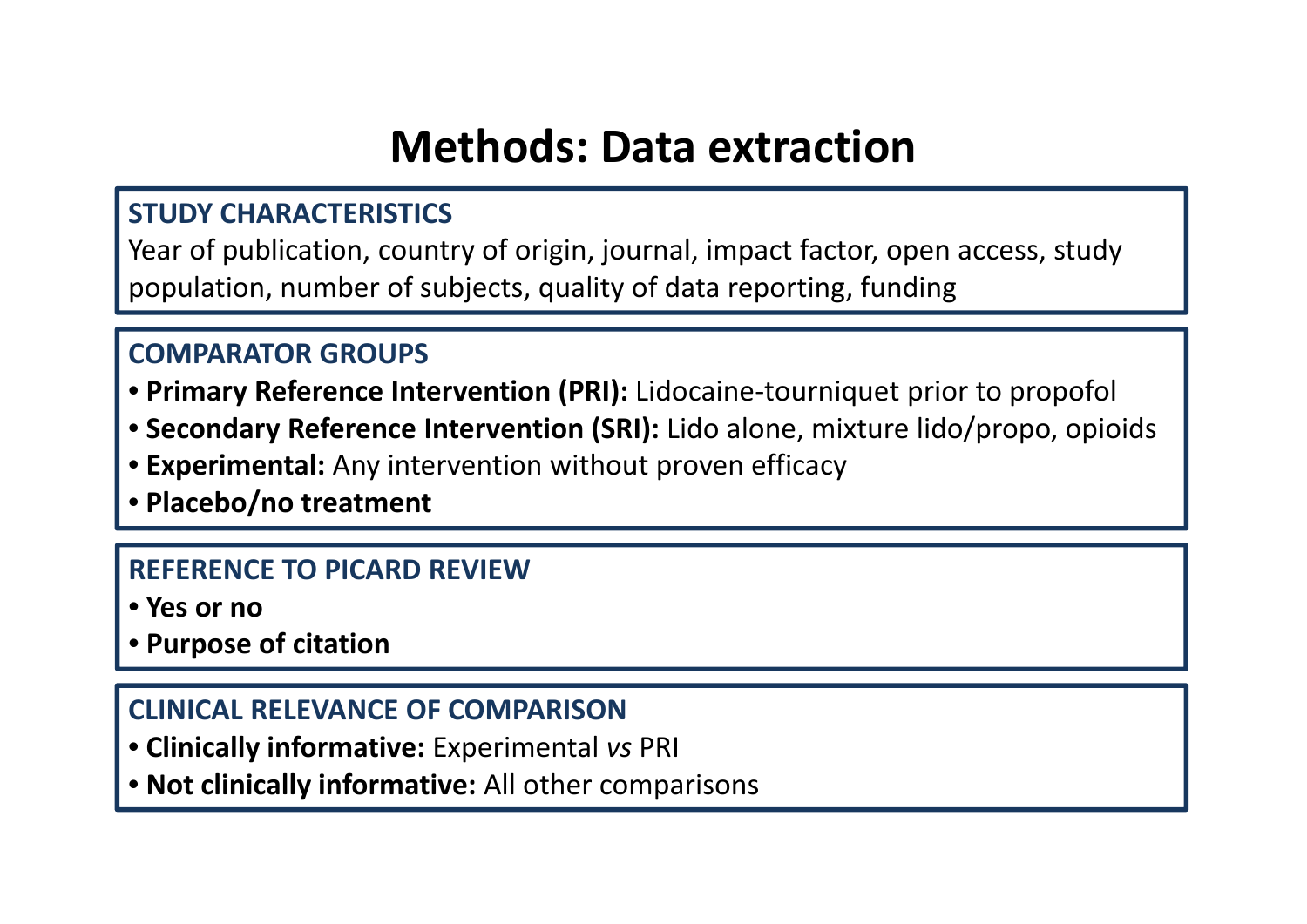### **Methods: Data extraction**

#### **STUDY CHARACTERISTICS**

Year of publication, country of origin, journal, impact factor, open access, study population, number of subjects, quality of data reporting, funding

#### **COMPARATOR GROUPS**

- **Primary Reference Intervention (PRI):** Lidocaine‐tourniquet prior to propofol
- **Secondary Reference Intervention (SRI):** Lido alone, mixture lido/propo, opioids
- **Experimental:** Any intervention without proven efficacy
- **Placebo/no treatment**

#### **REFERENCE TO PICARD REVIEW**

- **Yes or no**
- **Purpose of citation**

#### **CLINICAL RELEVANCE OF COMPARISON**

- **Clinically informative:** Experimental *vs* PRI
- **Not clinically informative:** All other comparisons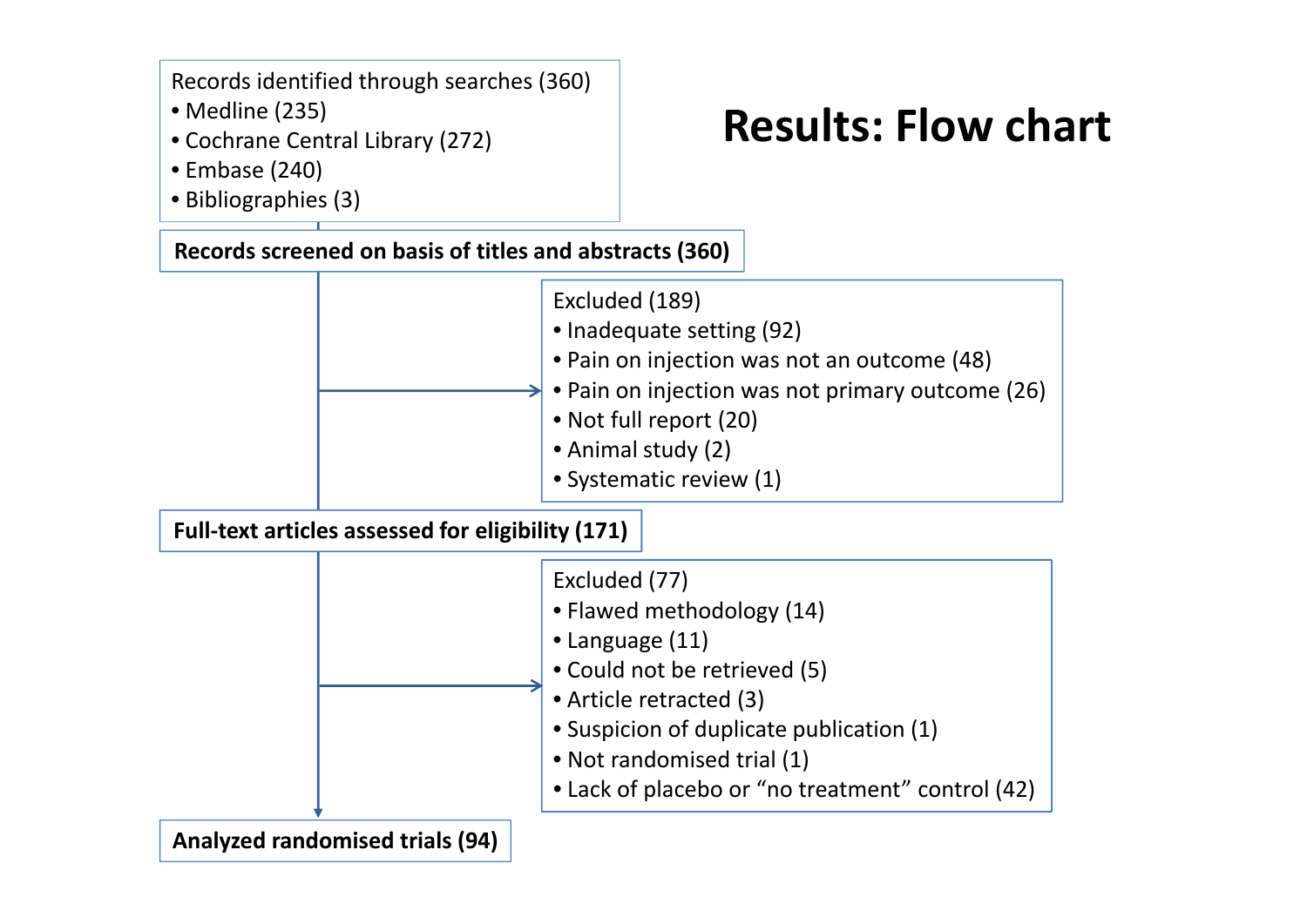Records identified through searches (360)

- Medline (235)
- Cochrane Central Library (272)

### **Results: Flow chart**

- Embase (240)
- Bibliographies (3)

**Records screened on basis of titles and abstracts (360)**

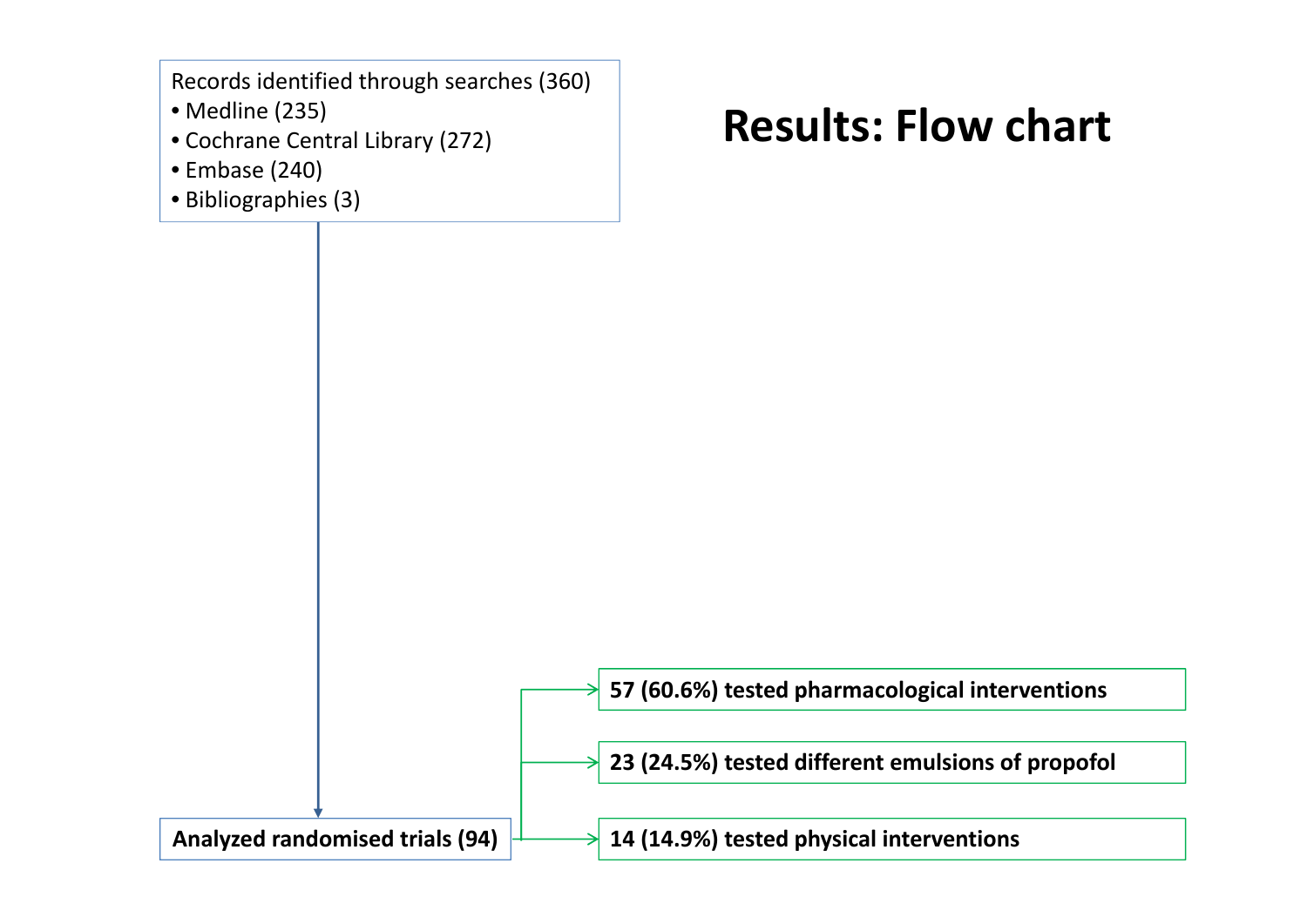Records identified through searches (360)

- Medline (235)
- Cochrane Central Library (272)
- Embase (240)
- Bibliographies (3)

### **Results: Flow chart**

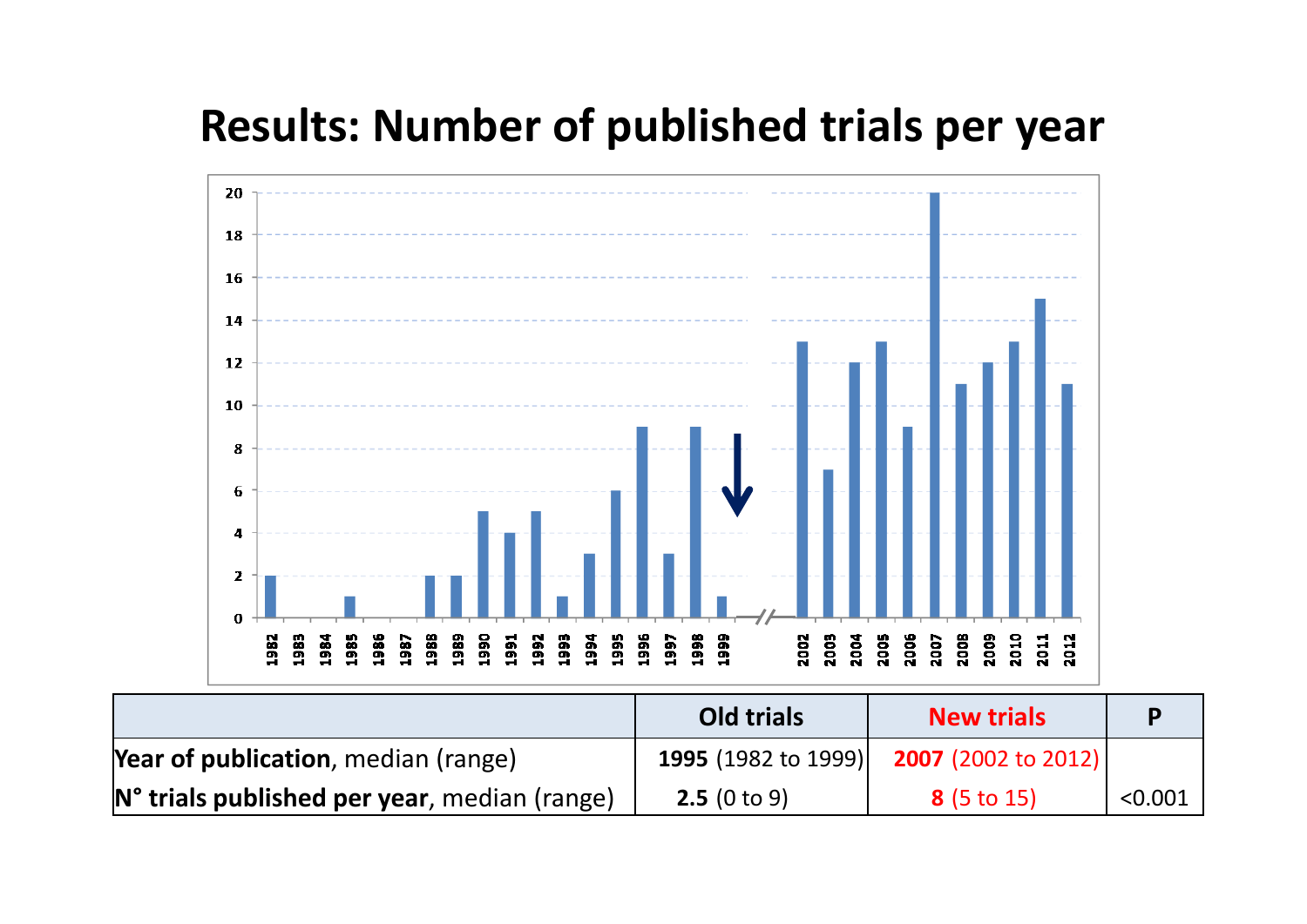### **Results: Number of published trials per year**



|                                                          | <b>Old trials</b> | <b>New trials</b>                                     | D       |
|----------------------------------------------------------|-------------------|-------------------------------------------------------|---------|
| <b>Year of publication</b> , median (range)              |                   | <b>1995</b> (1982 to 1999) <b>2007</b> (2002 to 2012) |         |
| N <sup>o</sup> trials published per year, median (range) | 2.5(0 to 9)       | 8(5 to 15)                                            | < 0.001 |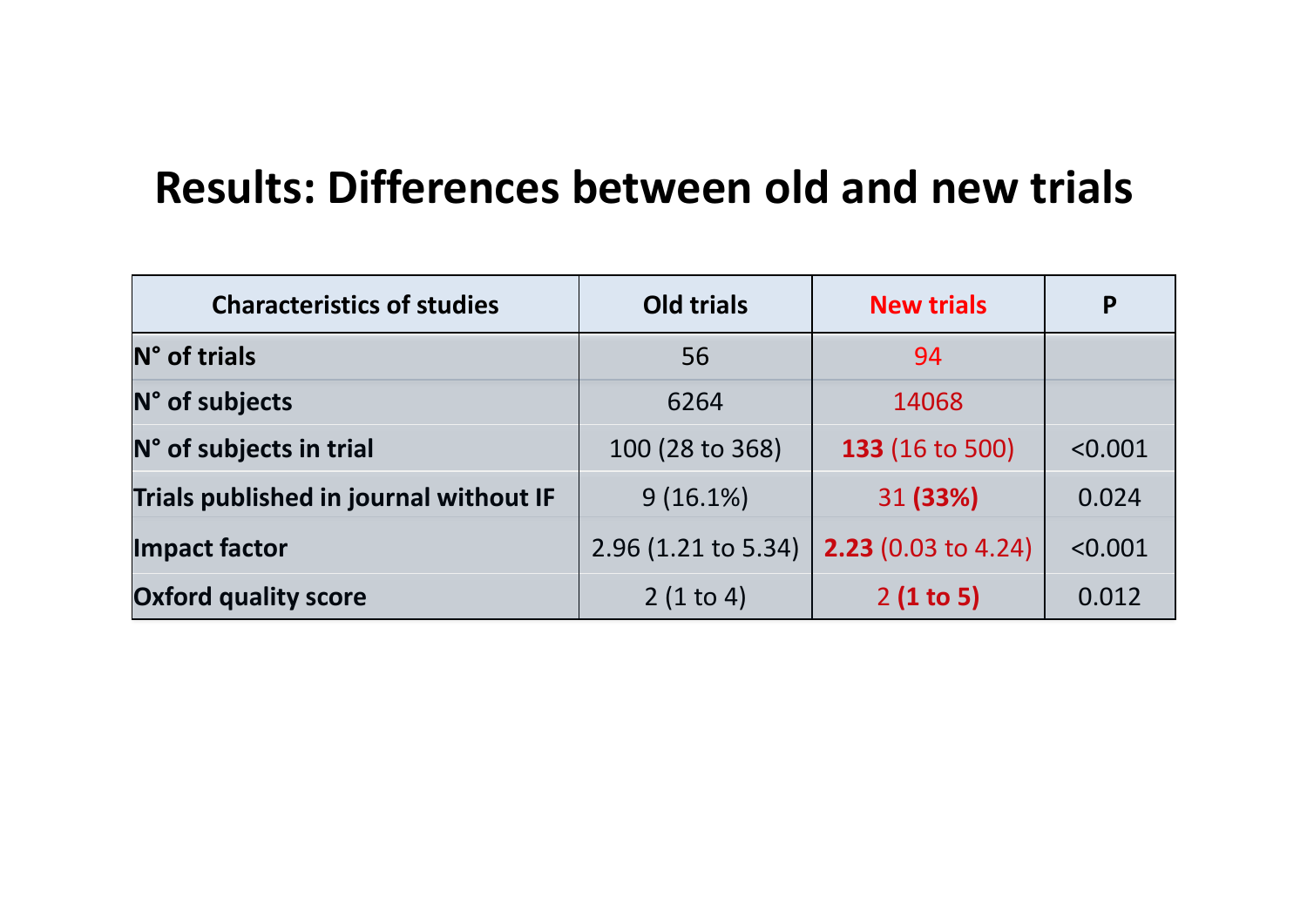### **Results: Differences between old and new trials**

| <b>Characteristics of studies</b>      | <b>Old trials</b>     | <b>New trials</b>          | P       |
|----------------------------------------|-----------------------|----------------------------|---------|
| N° of trials                           | 56                    | 94                         |         |
| N° of subjects                         | 6264                  | 14068                      |         |
| N° of subjects in trial                | 100 (28 to 368)       | <b>133 (16 to 500)</b>     | < 0.001 |
| Trials published in journal without IF | $9(16.1\%)$           | 31 (33%)                   | 0.024   |
| Impact factor                          | $2.96$ (1.21 to 5.34) | <b>2.23</b> (0.03 to 4.24) | < 0.001 |
| <b>Oxford quality score</b>            | 2(1 to 4)             | 2(1 to 5)                  | 0.012   |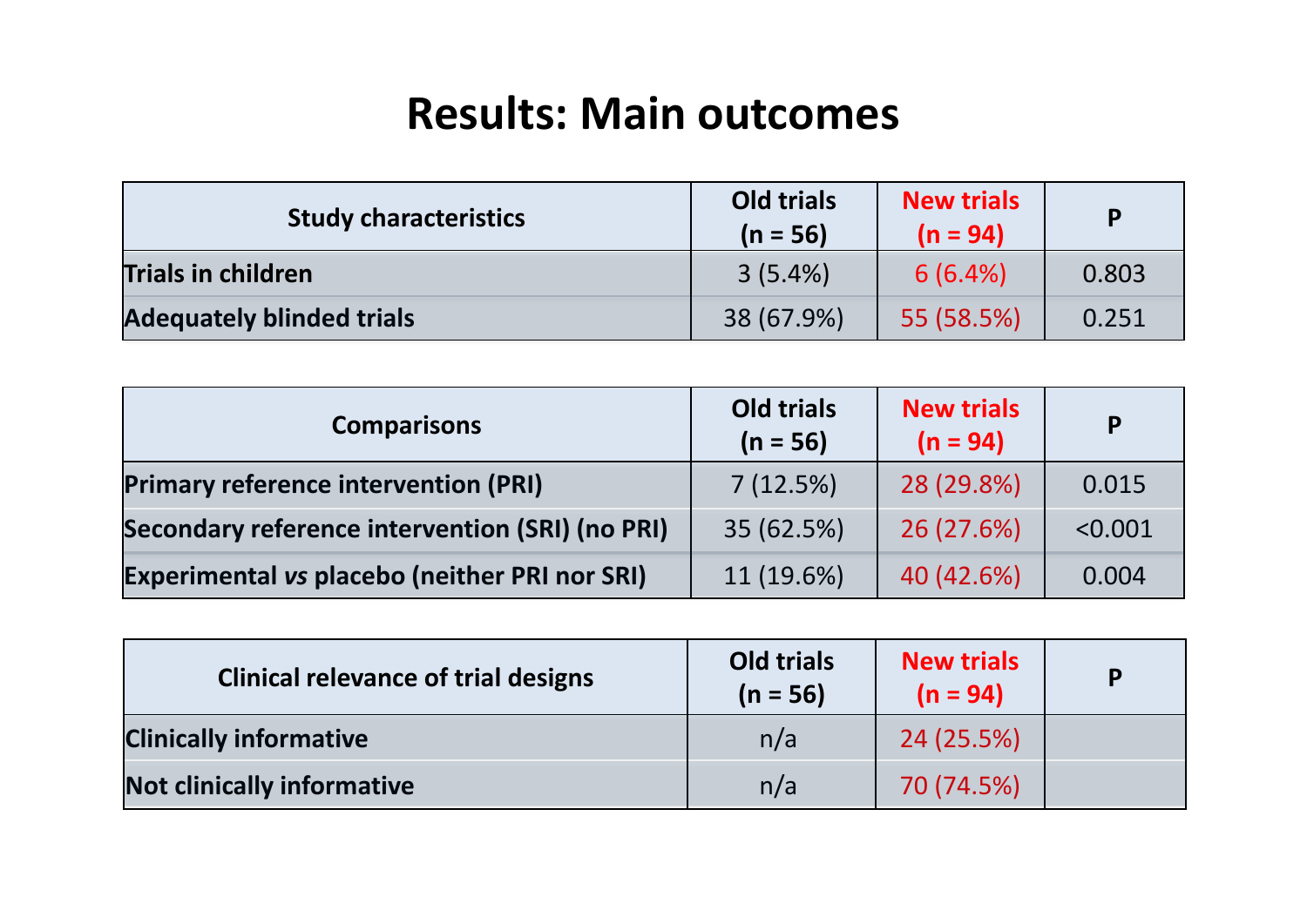### **Results: Main outcomes**

| <b>Study characteristics</b>     | <b>Old trials</b><br>$(n = 56)$ | <b>New trials</b><br>$(n = 94)$ | <b>p</b> |
|----------------------------------|---------------------------------|---------------------------------|----------|
| <b>Trials in children</b>        | $3(5.4\%)$                      | 6(6.4%)                         | 0.803    |
| <b>Adequately blinded trials</b> | 38 (67.9%)                      | 55 (58.5%)                      | 0.251    |

| <b>Comparisons</b>                                     | Old trials<br>$(n = 56)$ | <b>New trials</b><br>$(n = 94)$ | P       |
|--------------------------------------------------------|--------------------------|---------------------------------|---------|
| <b>Primary reference intervention (PRI)</b>            | 7(12.5%)                 | 28 (29.8%)                      | 0.015   |
| <b>Secondary reference intervention (SRI) (no PRI)</b> | 35 (62.5%)               | 26 (27.6%)                      | < 0.001 |
| <b>Experimental vs placebo (neither PRI nor SRI)</b>   | 11(19.6%)                | 40 (42.6%)                      | 0.004   |

| <b>Clinical relevance of trial designs</b> | Old trials<br>$(n = 56)$ | <b>New trials</b><br>$(n = 94)$ | P |
|--------------------------------------------|--------------------------|---------------------------------|---|
| <b>Clinically informative</b>              | n/a                      | 24 (25.5%)                      |   |
| <b>Not clinically informative</b>          | n/a                      | 70 (74.5%)                      |   |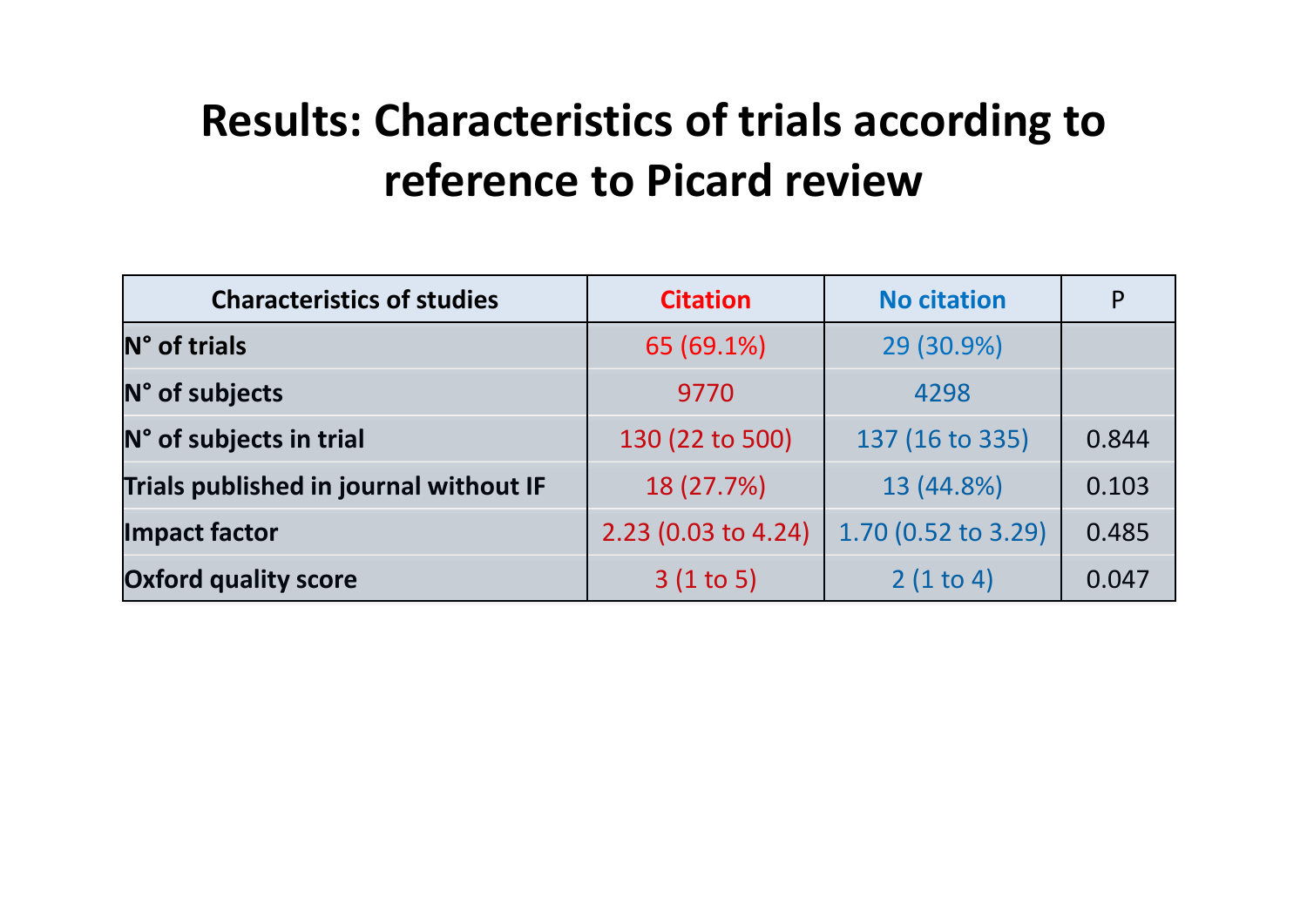## **Results: Characteristics of trials according to reference to Picard review**

| <b>Characteristics of studies</b><br><b>Citation</b> |                     | <b>No citation</b>  | P     |
|------------------------------------------------------|---------------------|---------------------|-------|
| N° of trials                                         | 65 (69.1%)          | 29 (30.9%)          |       |
| N° of subjects                                       | 9770                | 4298                |       |
| N° of subjects in trial                              | 130 (22 to 500)     | 137 (16 to 335)     | 0.844 |
| Trials published in journal without IF               | 18 (27.7%)          | 13 (44.8%)          | 0.103 |
| Impact factor                                        | 2.23 (0.03 to 4.24) | 1.70 (0.52 to 3.29) | 0.485 |
| <b>Oxford quality score</b>                          | 3(1 to 5)           | 2(1 to 4)           | 0.047 |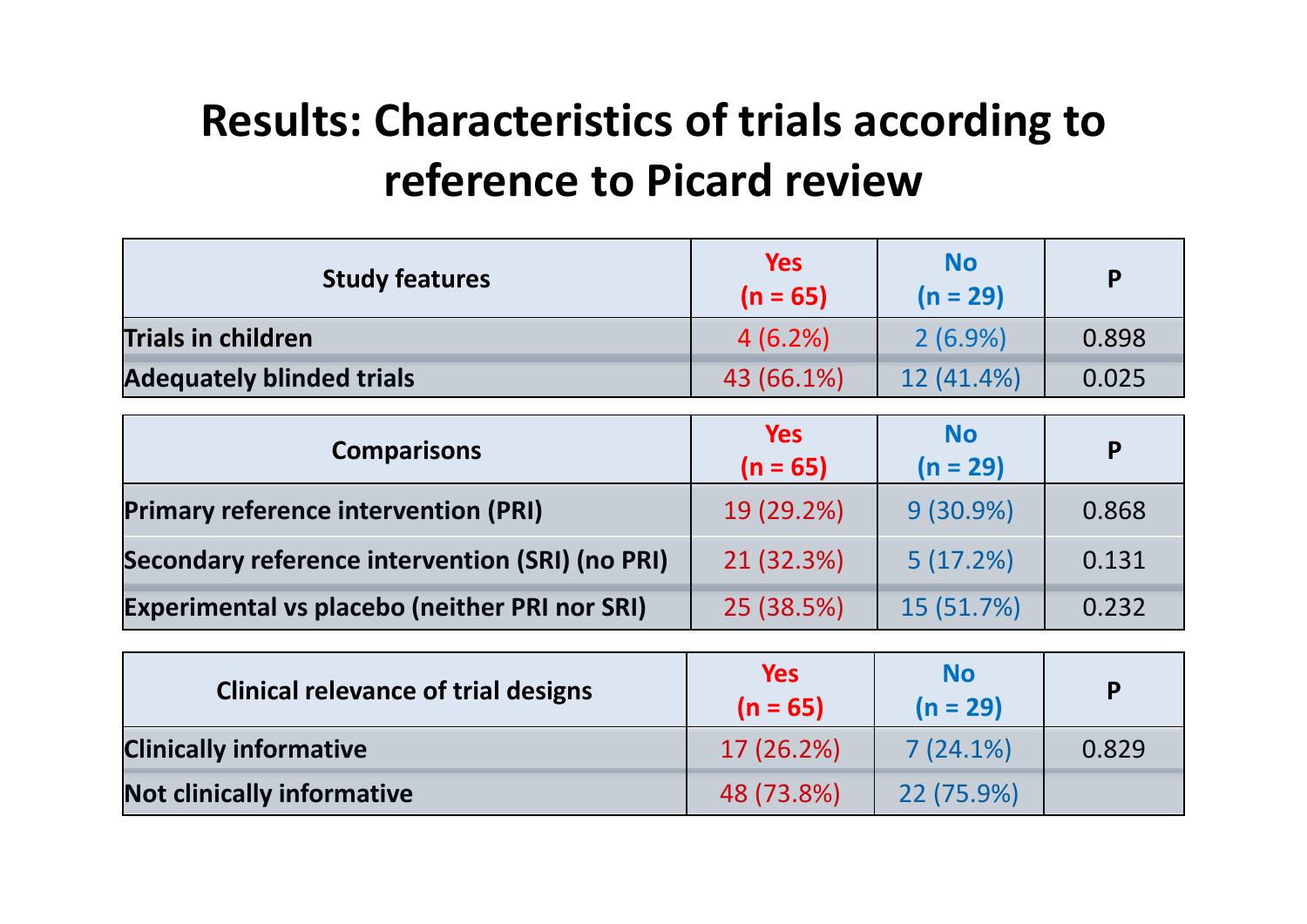## **Results: Characteristics of trials according to reference to Picard review**

| <b>Study features</b>                                  | <b>Yes</b><br>$(n = 65)$ | <b>No</b><br>$(n = 29)$ | P     |
|--------------------------------------------------------|--------------------------|-------------------------|-------|
| <b>Trials in children</b>                              | 4(6.2%)                  | $2(6.9\%)$              | 0.898 |
| <b>Adequately blinded trials</b>                       | 43 (66.1%)               | 12 (41.4%)              | 0.025 |
| <b>Comparisons</b>                                     | <b>Yes</b><br>$(n = 65)$ | <b>No</b><br>$(n = 29)$ | P     |
| <b>Primary reference intervention (PRI)</b>            | 19 (29.2%)               | $9(30.9\%)$             | 0.868 |
| <b>Secondary reference intervention (SRI) (no PRI)</b> | 21 (32.3%)               | 5(17.2%)                | 0.131 |
| <b>Experimental vs placebo (neither PRI nor SRI)</b>   | 25 (38.5%)               | 15 (51.7%)              | 0.232 |

| <b>Clinical relevance of trial designs</b> | <b>Yes</b><br>$(n = 65)$ | <b>No</b><br>$(n = 29)$ | D     |
|--------------------------------------------|--------------------------|-------------------------|-------|
| <b>Clinically informative</b>              | 17 (26.2%)               | 7(24.1%)                | 0.829 |
| Not clinically informative                 | 48 (73.8%)               | 22 (75.9%)              |       |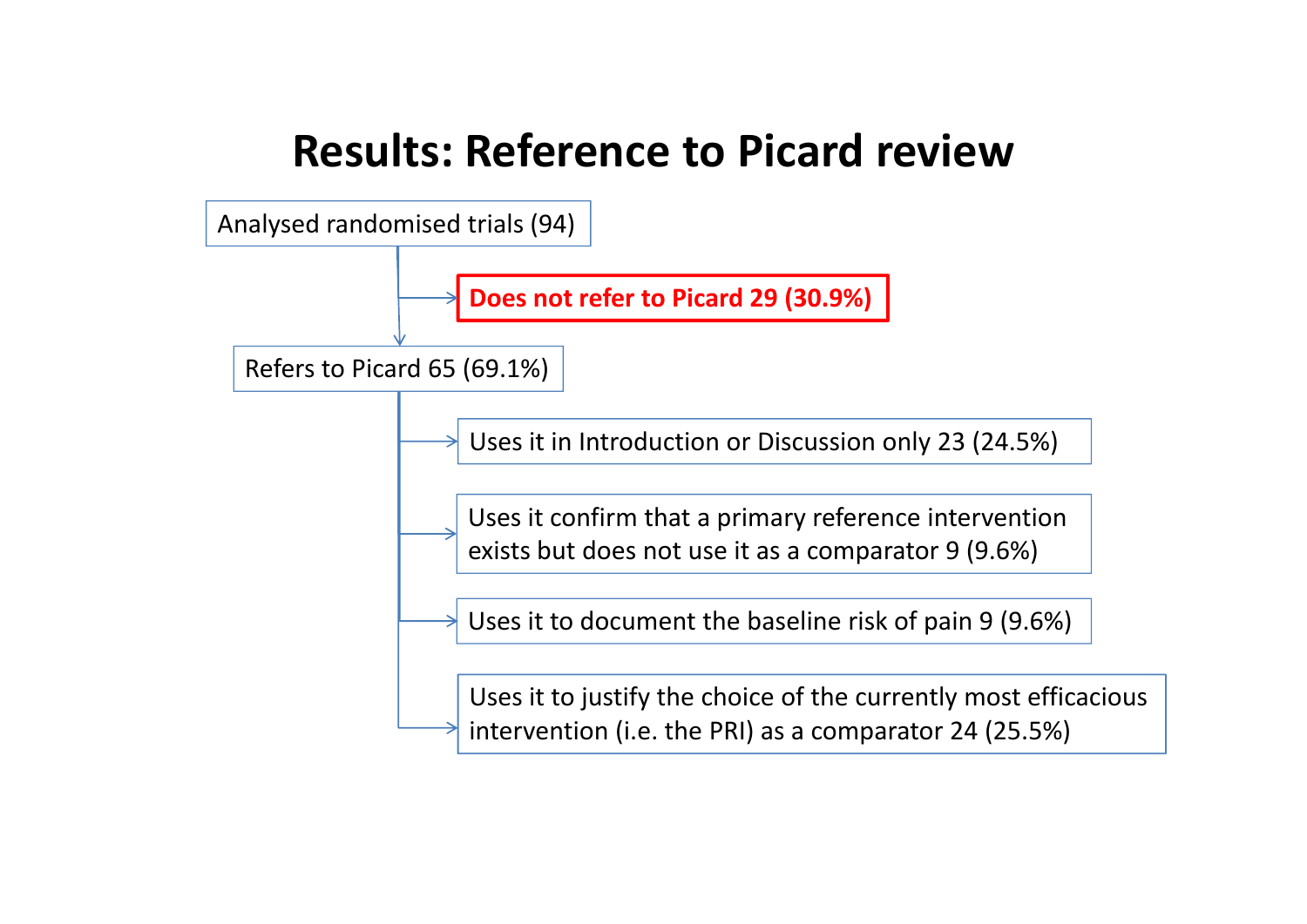### **Results: Reference to Picard review**

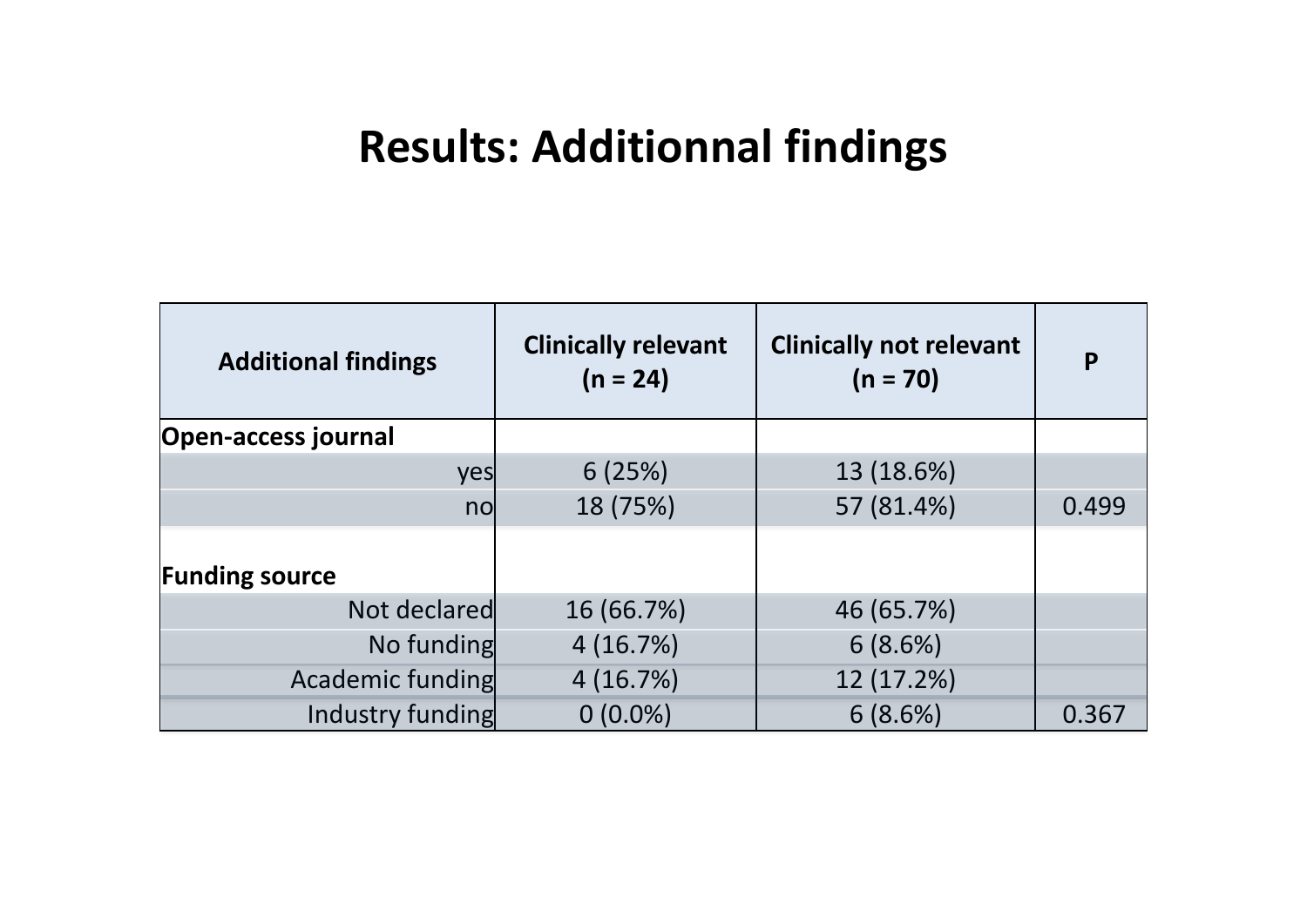### **Results: Additionnal findings**

| <b>Additional findings</b> | <b>Clinically relevant</b><br>$(n = 24)$ | <b>Clinically not relevant</b><br>$(n = 70)$ | P     |
|----------------------------|------------------------------------------|----------------------------------------------|-------|
| <b>Open-access journal</b> |                                          |                                              |       |
| yes                        | 6(25%)                                   | 13 (18.6%)                                   |       |
| no                         | 18 (75%)                                 | 57 (81.4%)                                   | 0.499 |
| <b>Funding source</b>      |                                          |                                              |       |
| Not declared               | 16 (66.7%)                               | 46 (65.7%)                                   |       |
| No funding                 | 4(16.7%)                                 | 6(8.6%)                                      |       |
| Academic funding           | 4(16.7%)                                 | 12 (17.2%)                                   |       |
| Industry funding           | $0(0.0\%)$                               | 6(8.6%)                                      | 0.367 |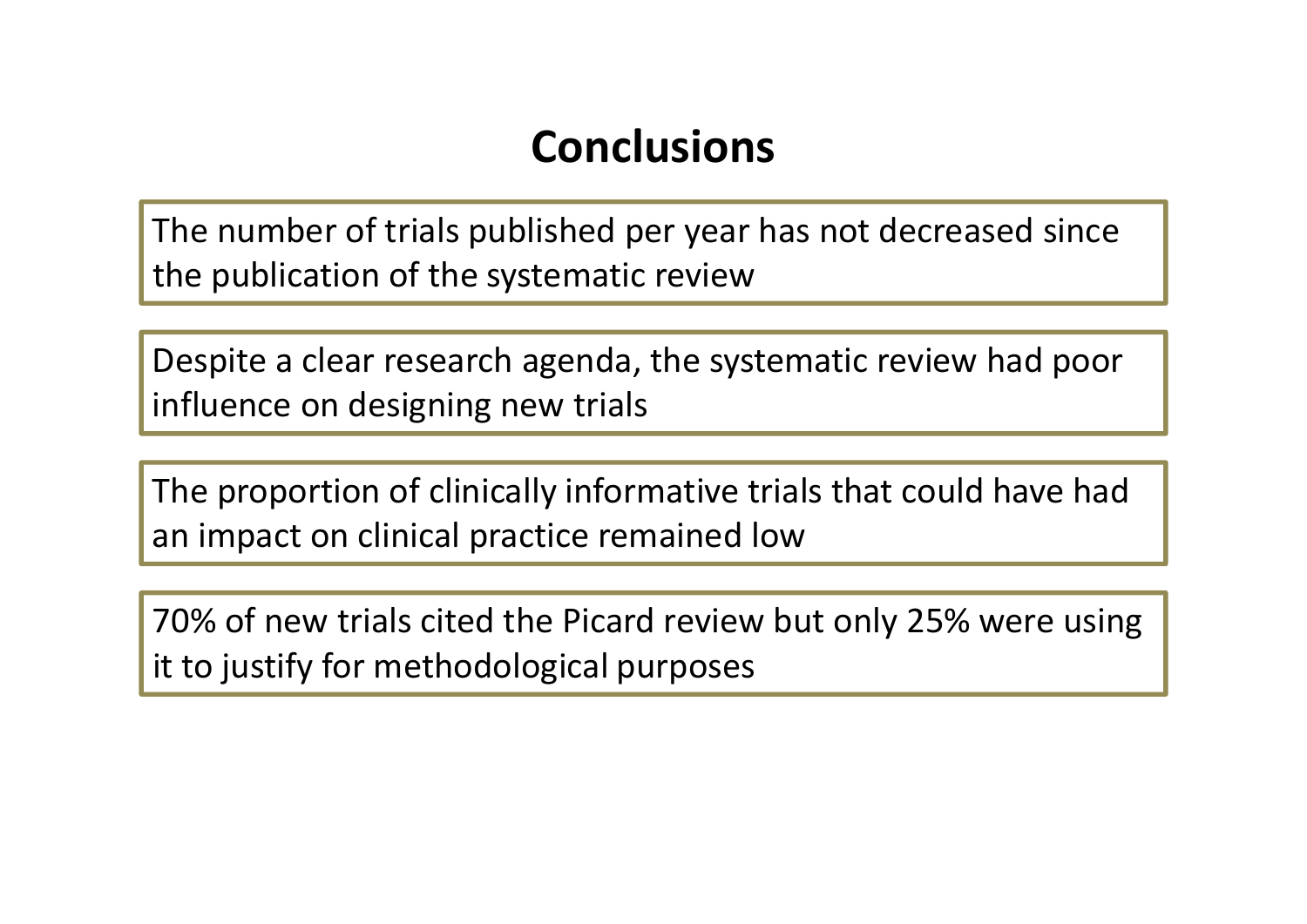### **Conclusions**

The number of trials published per year has not decreased since the publication of the systematic review

Despite <sup>a</sup> clear research agenda, the systematic review had poor influence on designing new trials

The proportion of clinically informative trials that could have had an impact on clinical practice remained low

70% of new trials cited the Picard review but only 25% were using it to justify for methodological purposes